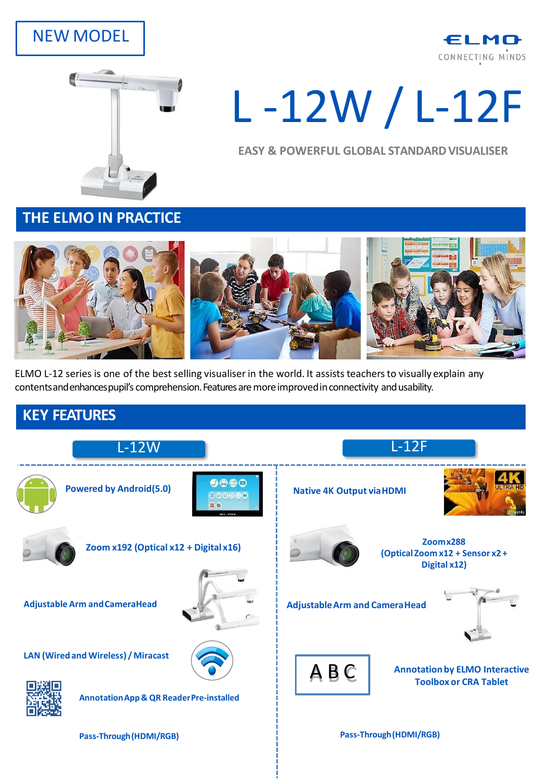# NEW MODEL





# L -12W / L-12F

**EASY & POWERFUL GLOBAL STANDARD VISUALISER** 

**THE ELMO IN PRACTICE**



ELMO L-12 series is one of the best selling visualiser in the world. It assists teachers to visually explain any contents and enhances pupil's comprehension. Features are more improved in connectivity and usability.

### **KEY FEATURES**



**Pass-Through(HDMI/RGB) Pass-Through(HDMI/RGB)**